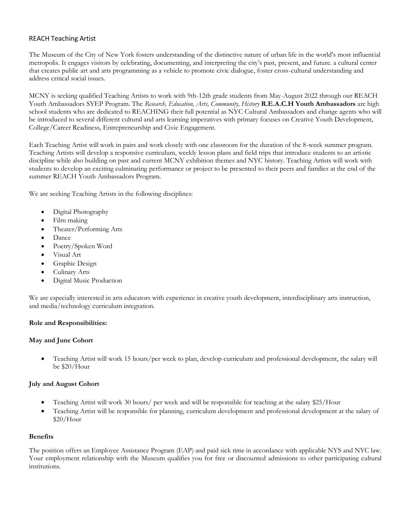# REACH Teaching Artist

The Museum of the City of New York fosters understanding of the distinctive nature of urban life in the world's most influential metropolis. It engages visitors by celebrating, documenting, and interpreting the city's past, present, and future. a cultural center that creates public art and arts programming as a vehicle to promote civic dialogue, foster cross-cultural understanding and address critical social issues.

MCNY is seeking qualified Teaching Artists to work with 9th-12th grade students from May-August 2022 through our REACH Youth Ambassadors SYEP Program. The *Research, Education, Arts, Community, History* **R.E.A.C.H Youth Ambassadors** are high school students who are dedicated to REACHING their full potential as NYC Cultural Ambassadors and change agents who will be introduced to several different cultural and arts learning imperatives with primary focuses on Creative Youth Development, College/Career Readiness, Entrepreneurship and Civic Engagement.

Each Teaching Artist will work in pairs and work closely with one classroom for the duration of the 8-week summer program. Teaching Artists will develop a responsive curriculum, weekly lesson plans and field trips that introduce students to an artistic discipline while also building on past and current MCNY exhibition themes and NYC history. Teaching Artists will work with students to develop an exciting culminating performance or project to be presented to their peers and families at the end of the summer REACH Youth Ambassadors Program.

We are seeking Teaching Artists in the following disciplines:

- Digital Photography
- Film making
- Theater/Performing Arts
- Dance
- Poetry/Spoken Word
- Visual Art
- Graphic Design
- Culinary Arts
- Digital Music Production

We are especially interested in arts educators with experience in creative youth development, interdisciplinary arts instruction, and media/technology curriculum integration.

#### **Role and Responsibilities:**

#### **May and June Cohort**

• Teaching Artist will work 15 hours/per week to plan, develop curriculum and professional development, the salary will be \$20/Hour

#### **July and August Cohort**

- Teaching Artist will work 30 hours/ per week and will be responsible for teaching at the salary \$25/Hour
- Teaching Artist will be responsible for planning, curriculum development and professional development at the salary of \$20/Hour

#### **Benefits**

The position offers an Employee Assistance Program (EAP) and paid sick time in accordance with applicable NYS and NYC law. Your employment relationship with the Museum qualifies you for free or discounted admissions to other participating cultural institutions.